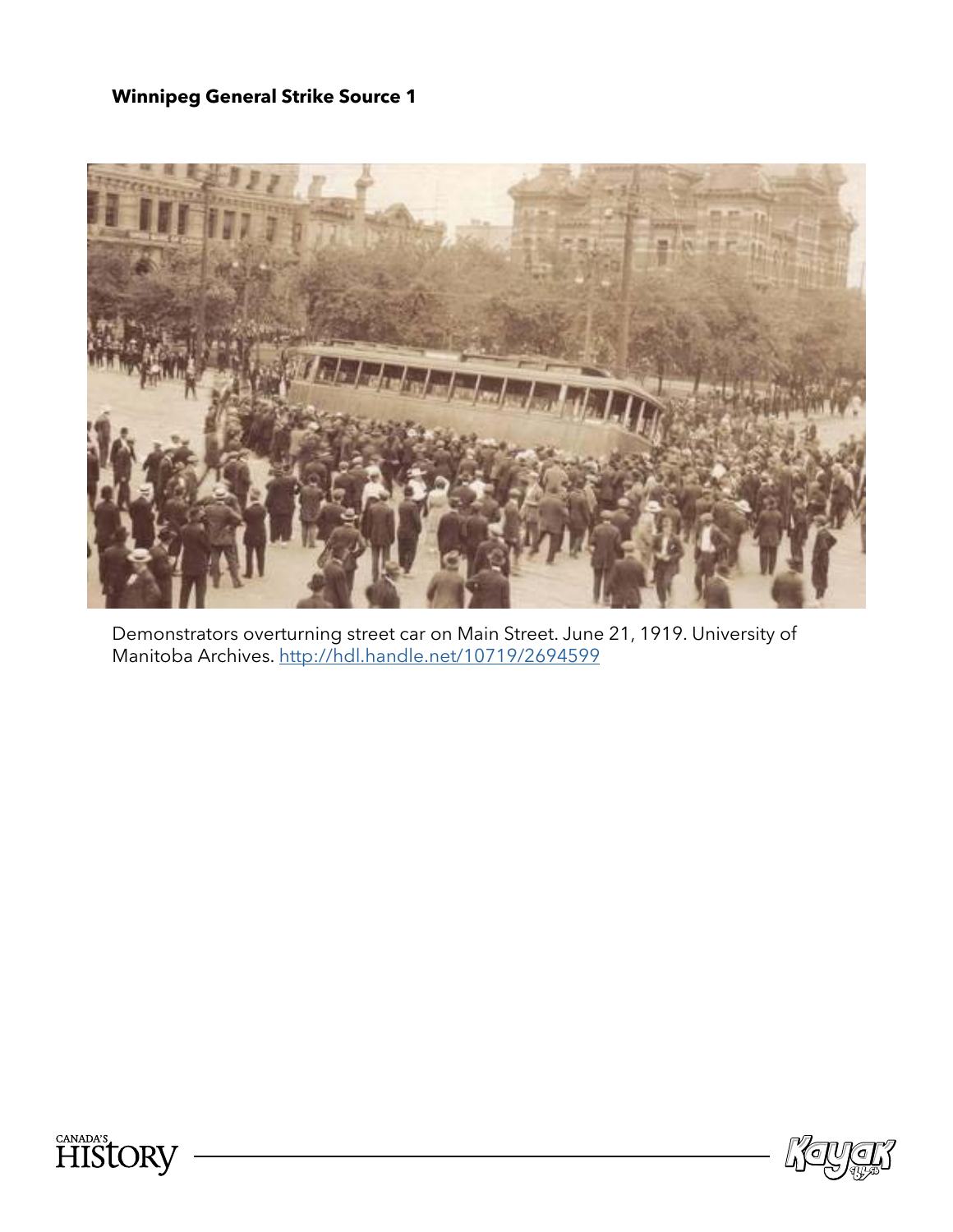

Demonstrators overturning street car on Main Street. June 21, 1919. University of Manitoba Archives.<http://hdl.handle.net/10719/2694599>



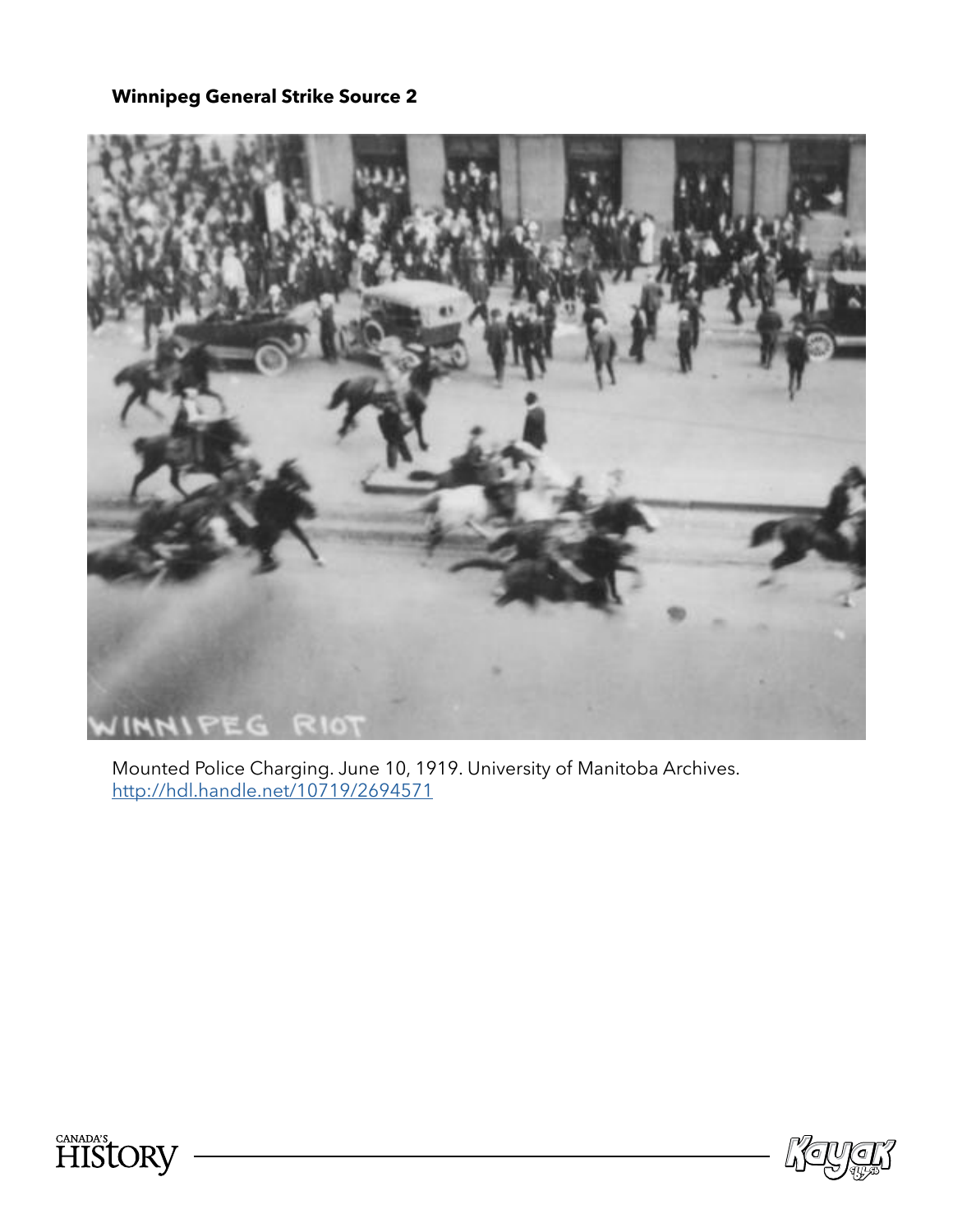

Mounted Police Charging. June 10, 1919. University of Manitoba Archives. <http://hdl.handle.net/10719/2694571>



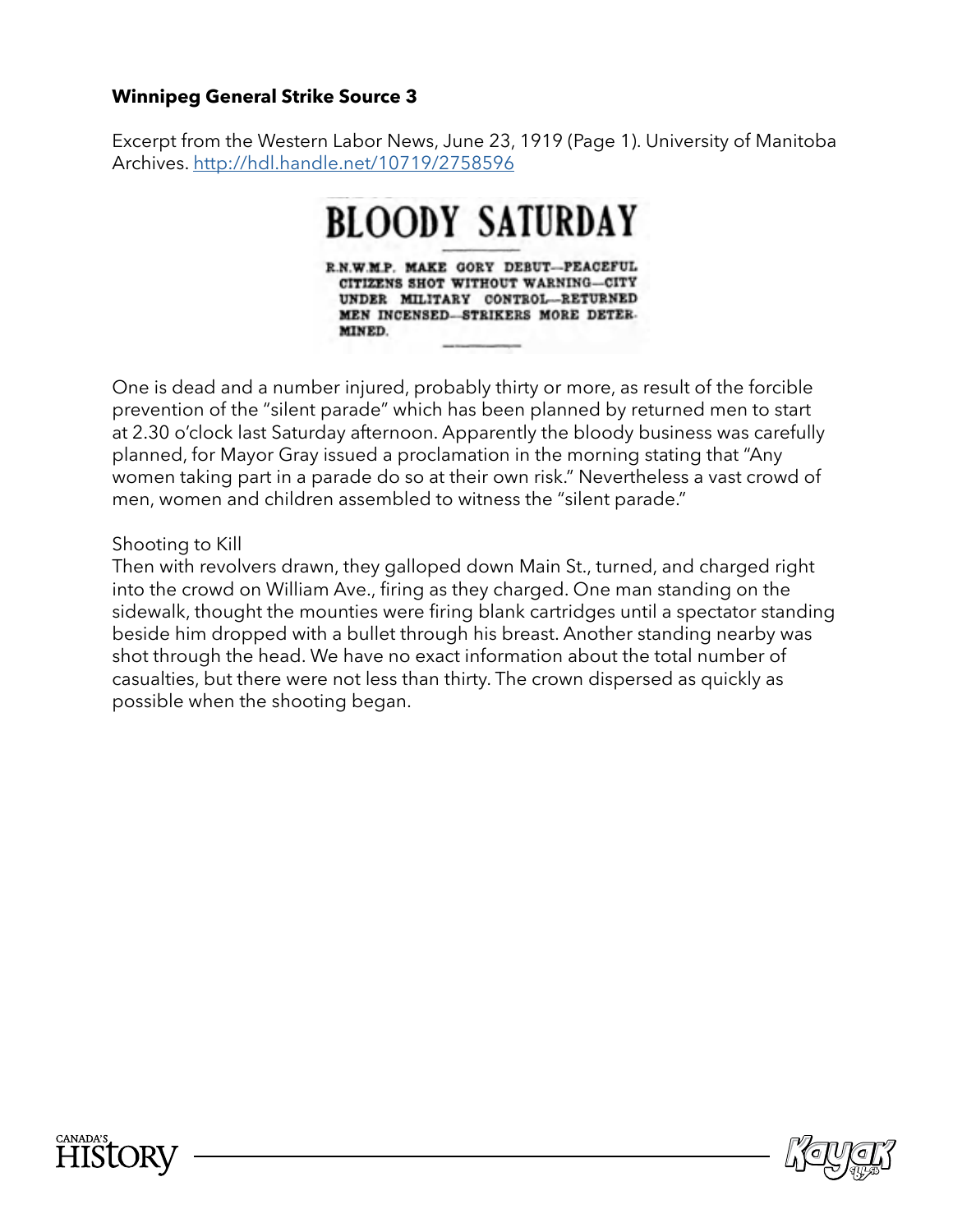Excerpt from the Western Labor News, June 23, 1919 (Page 1). University of Manitoba Archives. http://hdl.handle.net/10719/2758596

#### **BLOODY SATURDAY** R.N.W.M.P. MAKE GORY DEBUT-PEACEFUL CITIZENS SHOT WITHOUT WARNING-CITY UNDER MILITARY CONTROL-RETURNED MEN INCENSED-STRIKERS MORE DETER-MINED.

One is dead and a number injured, probably thirty or more, as result of the forcible prevention of the "silent parade" which has been planned by returned men to start at 2.30 o'clock last Saturday afternoon. Apparently the bloody business was carefully planned, for Mayor Gray issued a proclamation in the morning stating that "Any women taking part in a parade do so at their own risk." Nevertheless a vast crowd of men, women and children assembled to witness the "silent parade."

Shooting to Kill

Then with revolvers drawn, they galloped down Main St., turned, and charged right into the crowd on William Ave., fring as they charged. One man standing on the sidewalk, thought the mounties were fring blank cartridges until a spectator standing beside him dropped with a bullet through his breast. Another standing nearby was shot through the head. We have no exact information about the total number of casualties, but there were not less than thirty. The crown dispersed as quickly as possible when the shooting began.



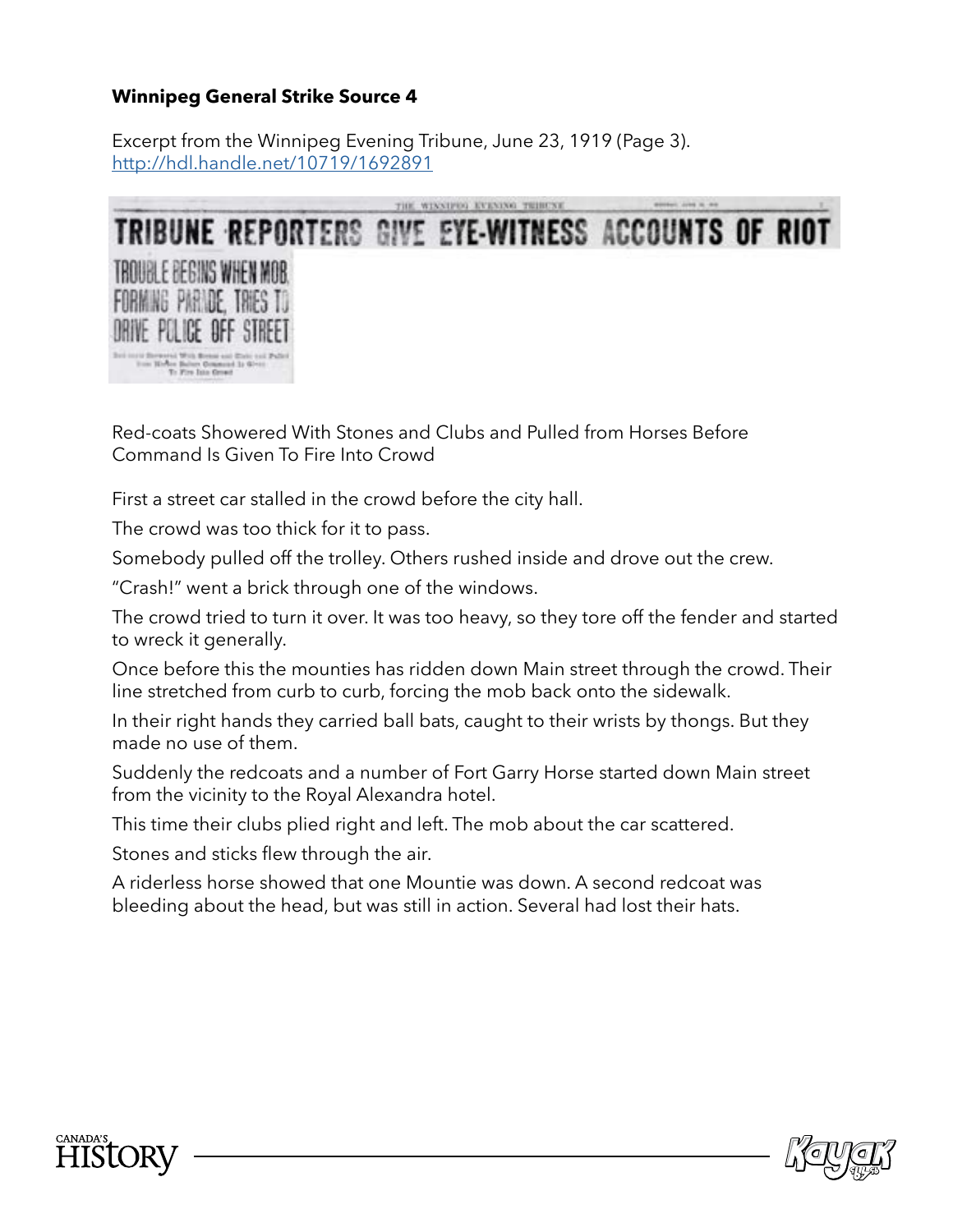Excerpt from the Winnipeg Evening Tribune, June 23, 1919 (Page 3). <http://hdl.handle.net/10719/1692891>



Red-coats Showered With Stones and Clubs and Pulled from Horses Before Command Is Given To Fire Into Crowd

First a street car stalled in the crowd before the city hall.

The crowd was too thick for it to pass.

Somebody pulled off the trolley. Others rushed inside and drove out the crew.

"Crash!" went a brick through one of the windows.

The crowd tried to turn it over. It was too heavy, so they tore off the fender and started to wreck it generally.

Once before this the mounties has ridden down Main street through the crowd. Their line stretched from curb to curb, forcing the mob back onto the sidewalk.

In their right hands they carried ball bats, caught to their wrists by thongs. But they made no use of them.

Suddenly the redcoats and a number of Fort Garry Horse started down Main street from the vicinity to the Royal Alexandra hotel.

This time their clubs plied right and left. The mob about the car scattered.

Stones and sticks flew through the air.

A riderless horse showed that one Mountie was down. A second redcoat was bleeding about the head, but was still in action. Several had lost their hats.